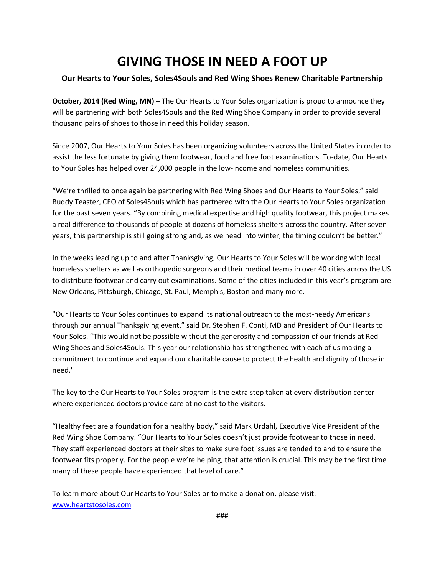# **GIVING THOSE IN NEED A FOOT UP**

# **Our Hearts to Your Soles, Soles4Souls and Red Wing Shoes Renew Charitable Partnership**

**October, 2014 (Red Wing, MN)** – The Our Hearts to Your Soles organization is proud to announce they will be partnering with both Soles4Souls and the Red Wing Shoe Company in order to provide several thousand pairs of shoes to those in need this holiday season.

Since 2007, Our Hearts to Your Soles has been organizing volunteers across the United States in order to assist the less fortunate by giving them footwear, food and free foot examinations. To-date, Our Hearts to Your Soles has helped over 24,000 people in the low-income and homeless communities.

"We're thrilled to once again be partnering with Red Wing Shoes and Our Hearts to Your Soles," said Buddy Teaster, CEO of Soles4Souls which has partnered with the Our Hearts to Your Soles organization for the past seven years. "By combining medical expertise and high quality footwear, this project makes a real difference to thousands of people at dozens of homeless shelters across the country. After seven years, this partnership is still going strong and, as we head into winter, the timing couldn't be better."

In the weeks leading up to and after Thanksgiving, Our Hearts to Your Soles will be working with local homeless shelters as well as orthopedic surgeons and their medical teams in over 40 cities across the US to distribute footwear and carry out examinations. Some of the cities included in this year's program are New Orleans, Pittsburgh, Chicago, St. Paul, Memphis, Boston and many more.

"Our Hearts to Your Soles continues to expand its national outreach to the most-needy Americans through our annual Thanksgiving event," said Dr. Stephen F. Conti, MD and President of Our Hearts to Your Soles. "This would not be possible without the generosity and compassion of our friends at Red Wing Shoes and Soles4Souls. This year our relationship has strengthened with each of us making a commitment to continue and expand our charitable cause to protect the health and dignity of those in need."

The key to the Our Hearts to Your Soles program is the extra step taken at every distribution center where experienced doctors provide care at no cost to the visitors.

"Healthy feet are a foundation for a healthy body," said Mark Urdahl, Executive Vice President of the Red Wing Shoe Company. "Our Hearts to Your Soles doesn't just provide footwear to those in need. They staff experienced doctors at their sites to make sure foot issues are tended to and to ensure the footwear fits properly. For the people we're helping, that attention is crucial. This may be the first time many of these people have experienced that level of care."

To learn more about Our Hearts to Your Soles or to make a donation, please visit: [www.heartstosoles.com](http://www.heartstosoles.com/)